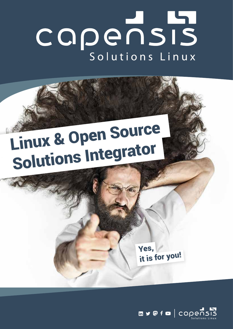

# Linux & Open Source Solutions Integrator

Yes, it is for you!

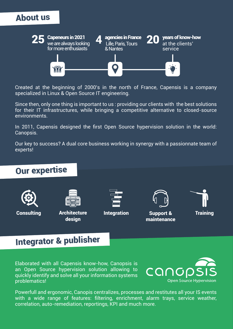## About us



Created at the beginning of 2000's in the north of France, Capensis is a company specialized in Linux & Open Source IT engineering.

Since then, only one thing is important to us : providing our clients with the best solutions for their IT infrastructures, while bringing a competitive alternative to closed-source environments.

In 2011, Capensis designed the first Open Source hypervision solution in the world: Canopsis.

Our key to success? A dual core business working in synergy with a passionnate team of experts!



## Integrator & publisher

Elaborated with all Capensis know-how, Canopsis is an Open Source hypervision solution allowing to quickly identify and solve all your information systems problematics!



Powerfull and ergonomic, Canopis centralizes, processes and restitutes all your IS events with a wide range of features: filtering, enrichment, alarm trays, service weather, correlation, auto-remediation, reportings, KPI and much more.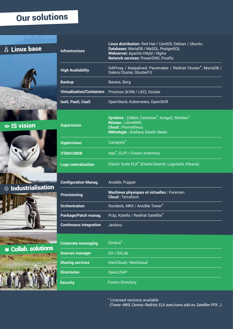## Our solutions





 $\bullet$  IS vision







 $\cdot$ **s** Collab. solutions



| <b>Infrastructure</b>            | Linux distribution: Red Hat / CentOS, Debian / Ubuntu<br>Databases: MariaDB / MySQL, PostgreSQL<br>Webserver: Apache Httpd / Nginx<br><b>Network services: PowerDNS, Postfix</b> |
|----------------------------------|----------------------------------------------------------------------------------------------------------------------------------------------------------------------------------|
| <b>High Availability</b>         | HAProxy / Keepalived, Pacemaker / RedHat Cluster*, MariaDB /<br>Galera Cluster, GlusterFS                                                                                        |
| <b>Backup</b>                    | Bareos, Borg                                                                                                                                                                     |
| <b>Virtualization/Containers</b> | Proxmox (KVM / LXC), Docker                                                                                                                                                      |
| laaS, PaaS, CaaS                 | OpenStack, Kubernetes, OpenShift                                                                                                                                                 |
| <b>Supervision</b>               | Système: Zabbix, Centreon*, Icinga2, Shinken*<br>Réseau: LibreNMS<br><b>Cloud: Prometheus</b><br>Métrologie : Grafana, Elastic Beats                                             |
| <b>Hypervision</b>               | Canopsis <sup>*</sup>                                                                                                                                                            |
| <b>ITSM/CMDB</b>                 | Itop <sup>*</sup> , GLPI / Fusion Inventory                                                                                                                                      |
| <b>Logs centralization</b>       | Elastic Suite ELK* (ElasticSearch, Logstash, Kibana)                                                                                                                             |

| <b>Configuration Manag.</b>   | Ansible, Puppet                                                              |
|-------------------------------|------------------------------------------------------------------------------|
| <b>Provisioning</b>           | <b>Machines physiques et virtuelles : Foreman</b><br><b>Cloud: Terraform</b> |
| <b>Orchestration</b>          | Rundeck, AWX / Ansible Tower*                                                |
| Package/Patch manag.          | Pulp, Katello / RedHat Satellite*                                            |
| <b>Continuous integration</b> | <b>Jenkins</b>                                                               |
| <b>Corporate messaging</b>    | Zimbra <sup>*</sup>                                                          |

| Corporate messaging     | Zillibid                    |
|-------------------------|-----------------------------|
| <b>Sources manager</b>  | Git / GitLab                |
| <b>Sharing services</b> | <b>OwnCloud / Nextcloud</b> |
| <b>Directories</b>      | OpenLDAP                    |
| <b>Security</b>         | <b>Fusion Directory</b>     |

*\* Licensed versions available (Tower-AWX, Centos-RedHat, ELK avec/sans add on, Satellite-PFK...)*